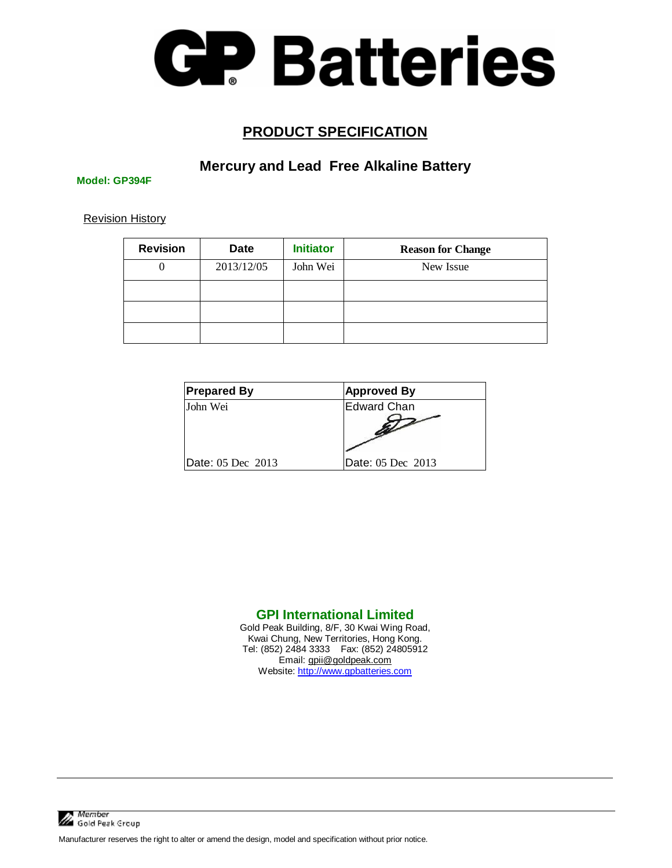

#### **PRODUCT SPECIFICATION**

#### **Mercury and Lead Free Alkaline Battery**

**Model: GP394F** 

Revision History

| <b>Revision</b> | <b>Date</b> | <b>Initiator</b> | <b>Reason for Change</b> |
|-----------------|-------------|------------------|--------------------------|
| $\theta$        | 2013/12/05  | John Wei         | New Issue                |
|                 |             |                  |                          |
|                 |             |                  |                          |
|                 |             |                  |                          |

| <b>Prepared By</b> | <b>Approved By</b> |  |
|--------------------|--------------------|--|
| John Wei           | Edward Chan        |  |
| Date: 05 Dec 2013  | Date: 05 Dec 2013  |  |

#### **GPI International Limited**

Gold Peak Building, 8/F, 30 Kwai Wing Road, Kwai Chung, New Territories, Hong Kong. Tel: (852) 2484 3333 Fax: (852) 24805912 Email: [gpii@goldpeak.com](mailto:gpii@goldpeak.com)  Website:<http://www.gpbatteries.com>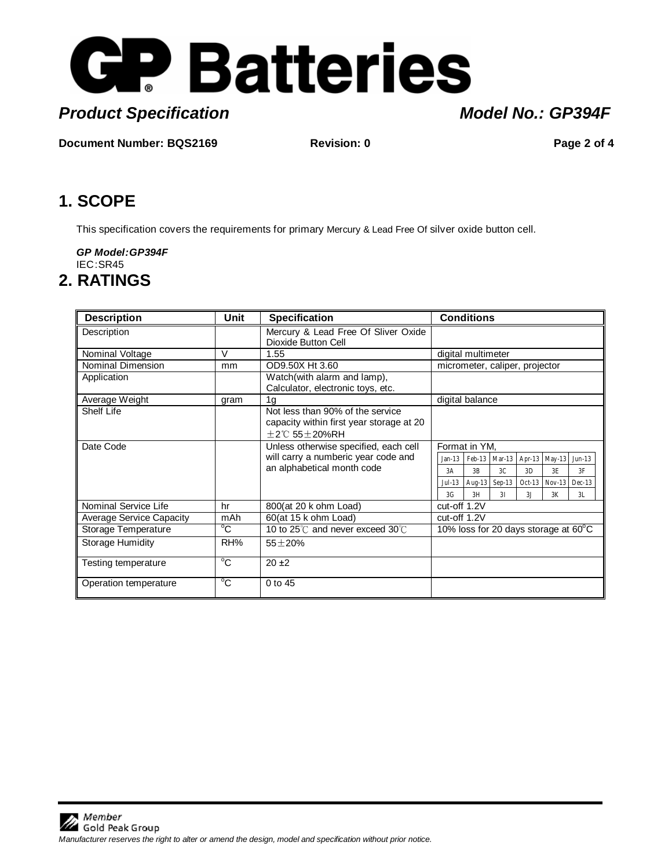

# **Product Specification Model No.: GP394F**

**Document Number: BQS2169 Revision: 0 Revision: 0 Page 2 of 4** 

## **1. SCOPE**

This specification covers the requirements for primary Mercury & Lead Free Of silver oxide button cell.

*GP Model:GP394F*  IEC :SR45

### **2. RATINGS**

| <b>Description</b>              | Unit           | <b>Specification</b>                                                                                      | <b>Conditions</b>                                        |  |  |
|---------------------------------|----------------|-----------------------------------------------------------------------------------------------------------|----------------------------------------------------------|--|--|
| Description                     |                | Mercury & Lead Free Of Sliver Oxide<br>Dioxide Button Cell                                                |                                                          |  |  |
| Nominal Voltage                 | $\vee$         | 1.55                                                                                                      | digital multimeter                                       |  |  |
| Nominal Dimension               | mm             | OD9.50X Ht 3.60                                                                                           | micrometer, caliper, projector                           |  |  |
| Application                     |                | Watch(with alarm and lamp),<br>Calculator, electronic toys, etc.                                          |                                                          |  |  |
| Average Weight                  | gram           | 1 <sub>q</sub>                                                                                            | digital balance                                          |  |  |
| Shelf Life                      |                | Not less than 90% of the service<br>capacity within first year storage at 20<br>$+2^{\circ}$ C 55 + 20%RH |                                                          |  |  |
| Date Code                       |                | Unless otherwise specified, each cell                                                                     | Format in YM,                                            |  |  |
|                                 |                | will carry a numberic year code and                                                                       | $Feb-13$ Mar-13<br>Apr-13 May-13<br>$Jun-13$<br>$Jan-13$ |  |  |
|                                 |                | an alphabetical month code                                                                                | 3C<br>3B<br>3D<br>3E<br>3F<br>3A                         |  |  |
|                                 |                |                                                                                                           | Aug-13 Sep-13<br>Oct-13 Nov-13<br>$Dec-13$<br>$Jul-13$   |  |  |
|                                 |                |                                                                                                           | 3G<br>3H<br>3I<br>3J<br>3K<br>3L                         |  |  |
| Nominal Service Life            | hr             | 800(at 20 k ohm Load)                                                                                     | cut-off 1.2V                                             |  |  |
| <b>Average Service Capacity</b> | mAh            | 60(at 15 k ohm Load)                                                                                      | cut-off 1.2V                                             |  |  |
| Storage Temperature             | $^{\circ}$ C   | 10 to 25℃ and never exceed 30℃                                                                            | 10% loss for 20 days storage at $60^{\circ}$ C           |  |  |
| Storage Humidity                | RH%            | $55 + 20%$                                                                                                |                                                          |  |  |
| Testing temperature             | $\overline{C}$ | $20 + 2$                                                                                                  |                                                          |  |  |
| Operation temperature           | $\overline{C}$ | 0 to 45                                                                                                   |                                                          |  |  |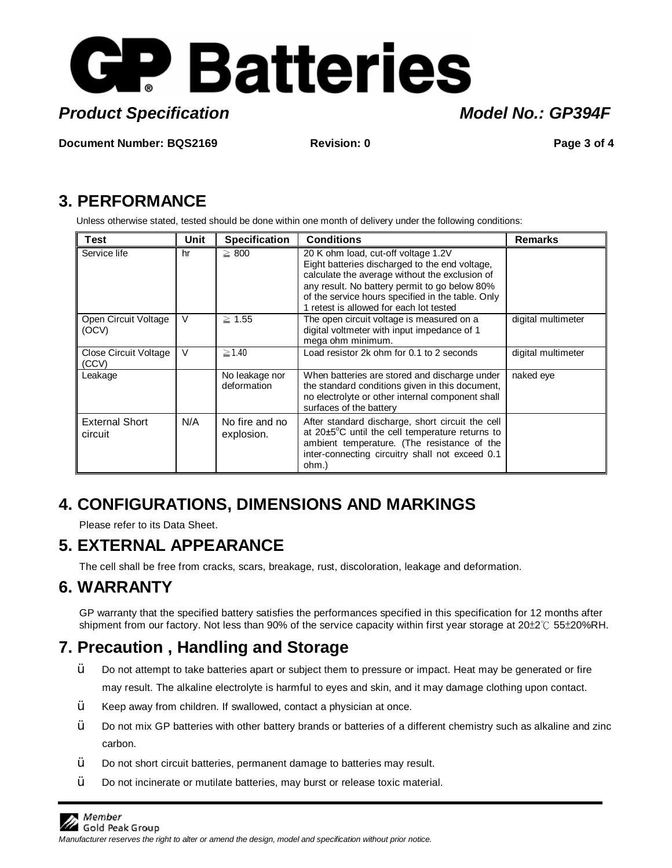

**Product Specification Model No.: GP394F** 

**Document Number: BQS2169 Revision: 0 Page 3 of 4**

## **3. PERFORMANCE**

Unless otherwise stated, tested should be done within one month of delivery under the following conditions:

| <b>Test</b>                      | Unit | <b>Specification</b>          | <b>Conditions</b>                                                                                                                                                                                                                                                                        | <b>Remarks</b>     |
|----------------------------------|------|-------------------------------|------------------------------------------------------------------------------------------------------------------------------------------------------------------------------------------------------------------------------------------------------------------------------------------|--------------------|
| Service life                     | hr   | $\geq 800$                    | 20 K ohm load, cut-off voltage 1.2V<br>Eight batteries discharged to the end voltage,<br>calculate the average without the exclusion of<br>any result. No battery permit to go below 80%<br>of the service hours specified in the table. Only<br>1 retest is allowed for each lot tested |                    |
| Open Circuit Voltage<br>(OCV)    | V    | $\geq 1.55$                   | The open circuit voltage is measured on a<br>digital voltmeter with input impedance of 1<br>mega ohm minimum.                                                                                                                                                                            | digital multimeter |
| Close Circuit Voltage<br>(CCV)   | V    | $\geq$ 1.40                   | Load resistor 2k ohm for 0.1 to 2 seconds                                                                                                                                                                                                                                                | digital multimeter |
| Leakage                          |      | No leakage nor<br>deformation | When batteries are stored and discharge under<br>the standard conditions given in this document,<br>no electrolyte or other internal component shall<br>surfaces of the battery                                                                                                          | naked eye          |
| <b>External Short</b><br>circuit | N/A  | No fire and no<br>explosion.  | After standard discharge, short circuit the cell<br>at $20\pm5^{\circ}$ C until the cell temperature returns to<br>ambient temperature. (The resistance of the<br>inter-connecting circuitry shall not exceed 0.1<br>ohm.)                                                               |                    |

# **4. CONFIGURATIONS, DIMENSIONS AND MARKINGS**

Please refer to its Data Sheet.

# **5. EXTERNAL APPEARANCE**

The cell shall be free from cracks, scars, breakage, rust, discoloration, leakage and deformation.

# **6. WARRANTY**

GP warranty that the specified battery satisfies the performances specified in this specification for 12 months after shipment from our factory. Not less than 90% of the service capacity within first year storage at 20±2℃ 55±20%RH.

# **7. Precaution , Handling and Storage**

- $\ddot{Y}$  Do not attempt to take batteries apart or subject them to pressure or impact. Heat may be generated or fire may result. The alkaline electrolyte is harmful to eyes and skin, and it may damage clothing upon contact.
- $\ddot{Y}$  Keep away from children. If swallowed, contact a physician at once.
- $\dot{Y}$  Do not mix GP batteries with other battery brands or batteries of a different chemistry such as alkaline and zinc carbon.
- $\ddot{Y}$  Do not short circuit batteries, permanent damage to batteries may result.
- $\ddot{Y}$  Do not incinerate or mutilate batteries, may burst or release toxic material.

 $M$ ember